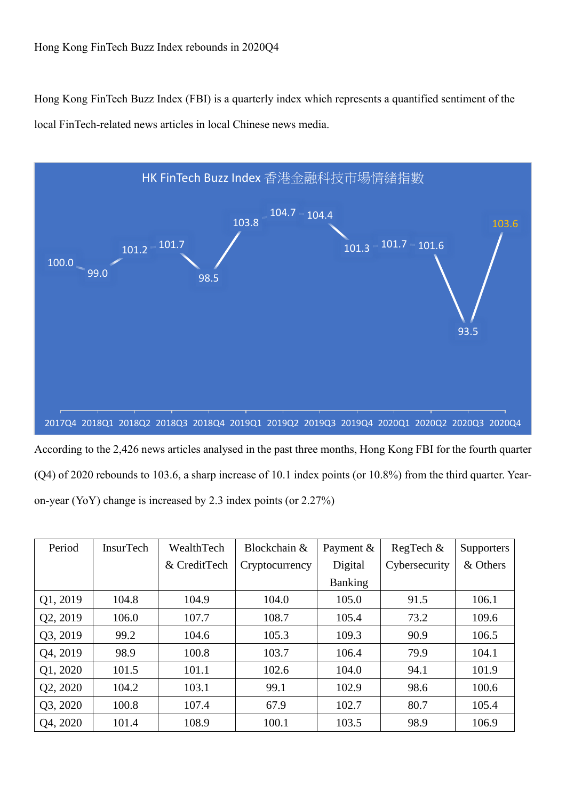Hong Kong FinTech Buzz Index (FBI) is a quarterly index which represents a quantified sentiment of the local FinTech-related news articles in local Chinese news media.



According to the 2,426 news articles analysed in the past three months, Hong Kong FBI for the fourth quarter (Q4) of 2020 rebounds to 103.6, a sharp increase of 10.1 index points (or 10.8%) from the third quarter. Yearon-year (YoY) change is increased by 2.3 index points (or 2.27%)

| Period   | <b>InsurTech</b> | WealthTech   | Blockchain &   | Payment $\&$   | RegTech $&$   | Supporters |
|----------|------------------|--------------|----------------|----------------|---------------|------------|
|          |                  | & CreditTech | Cryptocurrency | Digital        | Cybersecurity | & Others   |
|          |                  |              |                | <b>Banking</b> |               |            |
| Q1, 2019 | 104.8            | 104.9        | 104.0          | 105.0          | 91.5          | 106.1      |
| Q2, 2019 | 106.0            | 107.7        | 108.7          | 105.4          | 73.2          | 109.6      |
| Q3, 2019 | 99.2             | 104.6        | 105.3          | 109.3          | 90.9          | 106.5      |
| Q4, 2019 | 98.9             | 100.8        | 103.7          | 106.4          | 79.9          | 104.1      |
| Q1, 2020 | 101.5            | 101.1        | 102.6          | 104.0          | 94.1          | 101.9      |
| Q2, 2020 | 104.2            | 103.1        | 99.1           | 102.9          | 98.6          | 100.6      |
| Q3, 2020 | 100.8            | 107.4        | 67.9           | 102.7          | 80.7          | 105.4      |
| Q4, 2020 | 101.4            | 108.9        | 100.1          | 103.5          | 98.9          | 106.9      |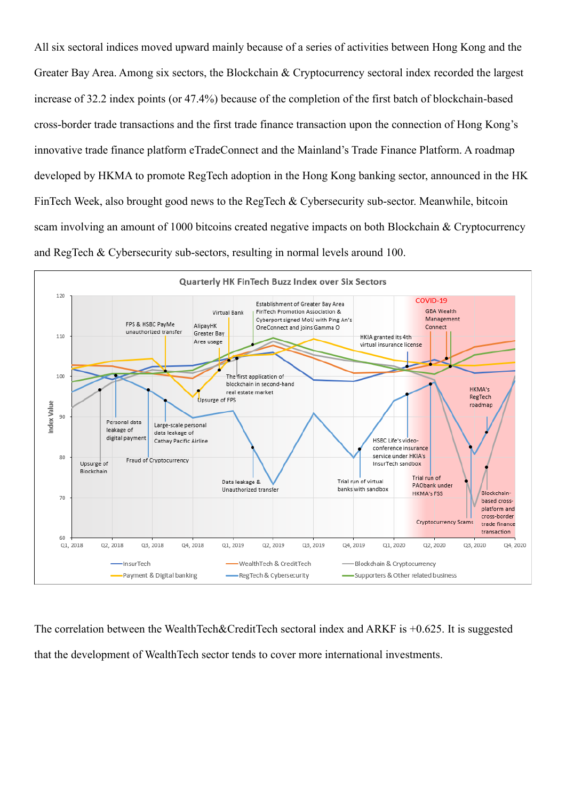All six sectoral indices moved upward mainly because of a series of activities between Hong Kong and the Greater Bay Area. Among six sectors, the Blockchain & Cryptocurrency sectoral index recorded the largest increase of 32.2 index points (or 47.4%) because of the completion of the first batch of blockchain-based cross-border trade transactions and the first trade finance transaction upon the connection of Hong Kong's innovative trade finance platform eTradeConnect and the Mainland's Trade Finance Platform. A roadmap developed by HKMA to promote RegTech adoption in the Hong Kong banking sector, announced in the HK FinTech Week, also brought good news to the RegTech & Cybersecurity sub-sector. Meanwhile, bitcoin scam involving an amount of 1000 bitcoins created negative impacts on both Blockchain & Cryptocurrency and RegTech & Cybersecurity sub-sectors, resulting in normal levels around 100.



The correlation between the WealthTech&CreditTech sectoral index and ARKF is +0.625. It is suggested that the development of WealthTech sector tends to cover more international investments.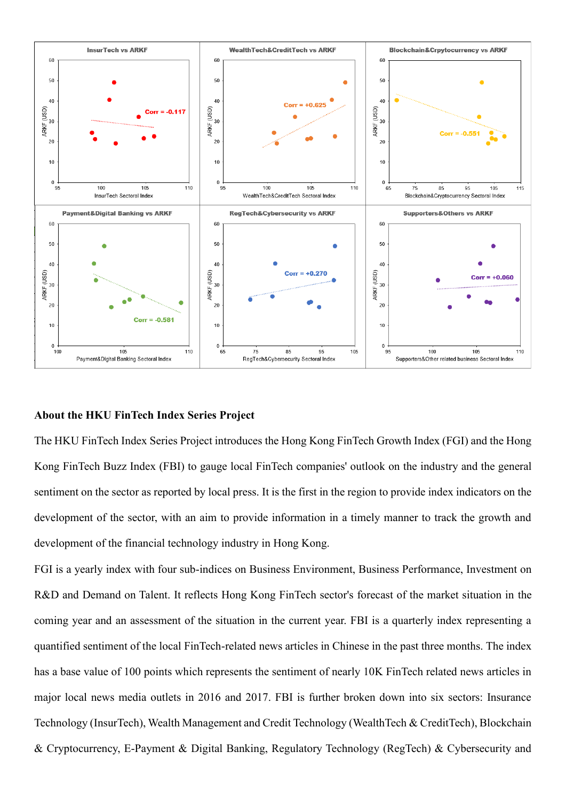

## **About the HKU FinTech Index Series Project**

The HKU FinTech Index Series Project introduces the Hong Kong FinTech Growth Index (FGI) and the Hong Kong FinTech Buzz Index (FBI) to gauge local FinTech companies' outlook on the industry and the general sentiment on the sector as reported by local press. It is the first in the region to provide index indicators on the development of the sector, with an aim to provide information in a timely manner to track the growth and development of the financial technology industry in Hong Kong.

FGI is a yearly index with four sub-indices on Business Environment, Business Performance, Investment on R&D and Demand on Talent. It reflects Hong Kong FinTech sector's forecast of the market situation in the coming year and an assessment of the situation in the current year. FBI is a quarterly index representing a quantified sentiment of the local FinTech-related news articles in Chinese in the past three months. The index has a base value of 100 points which represents the sentiment of nearly 10K FinTech related news articles in major local news media outlets in 2016 and 2017. FBI is further broken down into six sectors: Insurance Technology (InsurTech), Wealth Management and Credit Technology (WealthTech & CreditTech), Blockchain & Cryptocurrency, E-Payment & Digital Banking, Regulatory Technology (RegTech) & Cybersecurity and